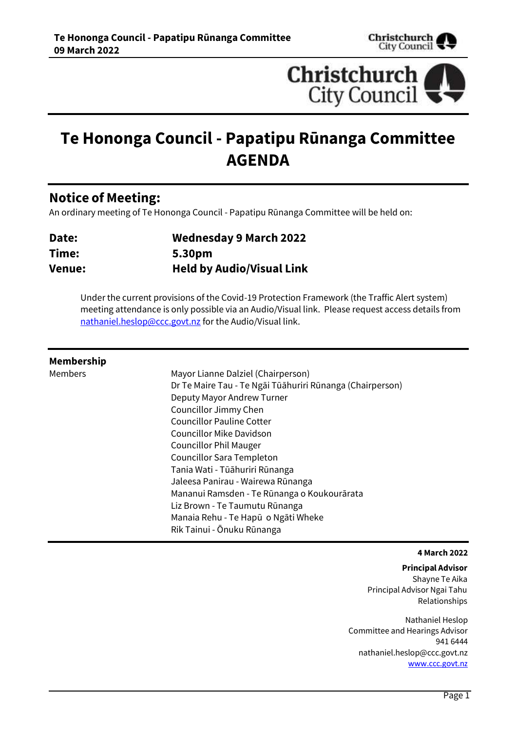



# **Te Hononga Council - Papatipu Rūnanga Committee AGENDA**

## **Notice of Meeting:**

An ordinary meeting of Te Hononga Council - Papatipu Rūnanga Committee will be held on:

| Date:         | <b>Wednesday 9 March 2022</b>    |
|---------------|----------------------------------|
| Time:         | 5.30pm                           |
| <b>Venue:</b> | <b>Held by Audio/Visual Link</b> |

Under the current provisions of the Covid-19 Protection Framework (the Traffic Alert system) meeting attendance is only possible via an Audio/Visual link. Please request access details from [nathaniel.heslop@ccc.govt.nz](mailto:nathaniel.heslop@ccc.govt.nz) for the Audio/Visual link.

#### **Membership**

Members Mayor Lianne Dalziel (Chairperson) Dr Te Maire Tau - Te Ngāi Tūāhuriri Rūnanga (Chairperson) Deputy Mayor Andrew Turner Councillor Jimmy Chen Councillor Pauline Cotter Councillor Mike Davidson Councillor Phil Mauger Councillor Sara Templeton Tania Wati - Tūāhuriri Rūnanga Jaleesa Panirau - Wairewa Rūnanga Mananui Ramsden - Te Rūnanga o Koukourārata Liz Brown - Te Taumutu Rūnanga Manaia Rehu - Te Hapū o Ngāti Wheke Rik Tainui - Ōnuku Rūnanga

#### **4 March 2022**

**Principal Advisor** Shayne Te Aika Principal Advisor Ngai Tahu Relationships

Nathaniel Heslop Committee and Hearings Advisor 941 6444 nathaniel.heslop@ccc.govt.nz [www.ccc.govt.nz](http://www.ccc.govt.nz/)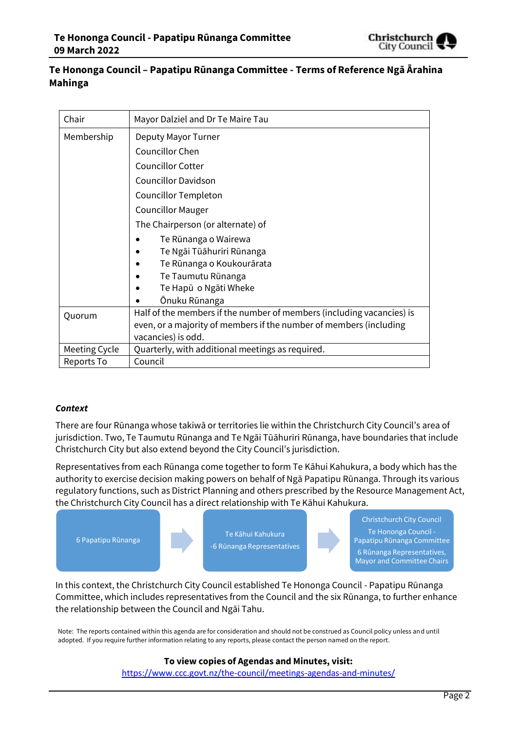

### **Te Hononga Council – Papatipu Rūnanga Committee - Terms of Reference Ngā Ārahina Mahinga**

| Chair         | Mayor Dalziel and Dr Te Maire Tau                                     |  |
|---------------|-----------------------------------------------------------------------|--|
| Membership    | Deputy Mayor Turner                                                   |  |
|               | <b>Councillor Chen</b>                                                |  |
|               | <b>Councillor Cotter</b>                                              |  |
|               | <b>Councillor Davidson</b>                                            |  |
|               | Councillor Templeton                                                  |  |
|               | <b>Councillor Mauger</b>                                              |  |
|               | The Chairperson (or alternate) of                                     |  |
|               | Te Rūnanga o Wairewa                                                  |  |
|               | Te Ngāi Tūāhuriri Rūnanga                                             |  |
|               | Te Rūnanga o Koukourārata                                             |  |
|               | Te Taumutu Rūnanga                                                    |  |
|               | Te Hapū o Ngāti Wheke                                                 |  |
|               | Ōnuku Rūnanga                                                         |  |
| Quorum        | Half of the members if the number of members (including vacancies) is |  |
|               | even, or a majority of members if the number of members (including    |  |
|               | vacancies) is odd.                                                    |  |
| Meeting Cycle | Quarterly, with additional meetings as required.                      |  |
| Reports To    | Council                                                               |  |

#### *Context*

There are four Rūnanga whose takiwā or territories lie within the Christchurch City Council's area of jurisdiction. Two, Te Taumutu Rūnanga and Te Ngāi Tūāhuriri Rūnanga, have boundaries that include Christchurch City but also extend beyond the City Council's jurisdiction.

Representatives from each Rūnanga come together to form Te Kāhui Kahukura, a body which has the authority to exercise decision making powers on behalf of Ngā Papatipu Rūnanga. Through its various regulatory functions, such as District Planning and others prescribed by the Resource Management Act, the Christchurch City Council has a direct relationship with Te Kāhui Kahukura.



In this context, the Christchurch City Council established Te Hononga Council - Papatipu Rūnanga Committee, which includes representatives from the Council and the six Rūnanga, to further enhance the relationship between the Council and Ngāi Tahu.

Note: The reports contained within this agenda are for consideration and should not be construed as Council policy unless and until adopted. If you require further information relating to any reports, please contact the person named on the report.

#### **To view copies of Agendas and Minutes, visit:**

<https://www.ccc.govt.nz/the-council/meetings-agendas-and-minutes/>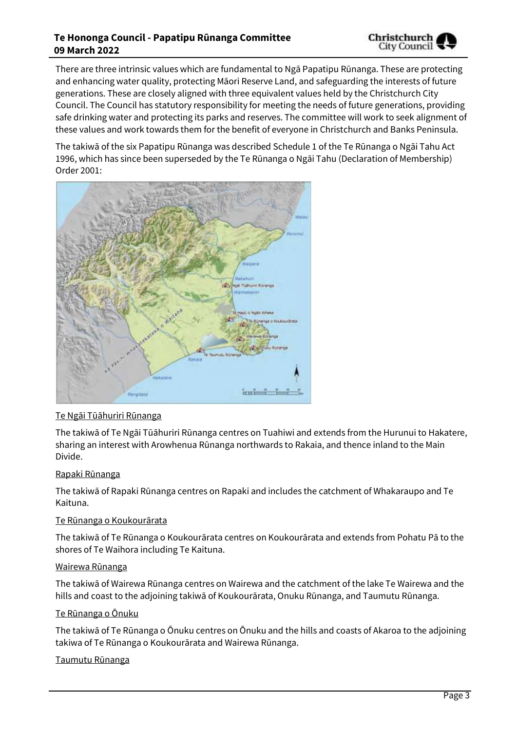#### **Te Hononga Council - Papatipu Rūnanga Committee 09 March 2022**



There are three intrinsic values which are fundamental to Ngā Papatipu Rūnanga. These are protecting and enhancing water quality, protecting Māori Reserve Land, and safeguarding the interests of future generations. These are closely aligned with three equivalent values held by the Christchurch City Council. The Council has statutory responsibility for meeting the needs of future generations, providing safe drinking water and protecting its parks and reserves. The committee will work to seek alignment of these values and work towards them for the benefit of everyone in Christchurch and Banks Peninsula.

The takiwā of the six Papatipu Rūnanga was described Schedule 1 of the Te Rūnanga o Ngāi Tahu Act 1996, which has since been superseded by the Te Rūnanga o Ngāi Tahu (Declaration of Membership) Order 2001:



#### Te Ngāi Tūāhuriri Rūnanga

The takiwā of Te Ngāi Tūāhuriri Rūnanga centres on Tuahiwi and extends from the Hurunui to Hakatere, sharing an interest with Arowhenua Rūnanga northwards to Rakaia, and thence inland to the Main Divide.

#### Rapaki Rūnanga

The takiwā of Rapaki Rūnanga centres on Rapaki and includes the catchment of Whakaraupo and Te Kaituna.

#### Te Rūnanga o Koukourārata

The takiwā of Te Rūnanga o Koukourārata centres on Koukourārata and extends from Pohatu Pā to the shores of Te Waihora including Te Kaituna.

#### Wairewa Rūnanga

The takiwā of Wairewa Rūnanga centres on Wairewa and the catchment of the lake Te Wairewa and the hills and coast to the adjoining takiwā of Koukourārata, Onuku Rūnanga, and Taumutu Rūnanga.

#### Te Rūnanga o Ōnuku

The takiwā of Te Rūnanga o Ōnuku centres on Ōnuku and the hills and coasts of Akaroa to the adjoining takiwa of Te Rūnanga o Koukourārata and Wairewa Rūnanga.

#### Taumutu Rūnanga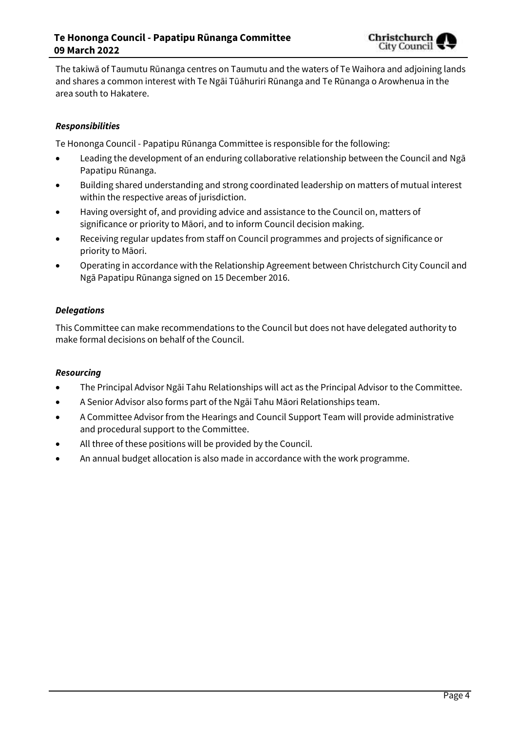

The takiwā of Taumutu Rūnanga centres on Taumutu and the waters of Te Waihora and adjoining lands and shares a common interest with Te Ngāi Tūāhuriri Rūnanga and Te Rūnanga o Arowhenua in the area south to Hakatere.

#### *Responsibilities*

Te Hononga Council - Papatipu Rūnanga Committee is responsible for the following:

- Leading the development of an enduring collaborative relationship between the Council and Ngā Papatipu Rūnanga.
- Building shared understanding and strong coordinated leadership on matters of mutual interest within the respective areas of jurisdiction.
- Having oversight of, and providing advice and assistance to the Council on, matters of significance or priority to Māori, and to inform Council decision making.
- Receiving regular updates from staff on Council programmes and projects of significance or priority to Māori.
- Operating in accordance with the Relationship Agreement between Christchurch City Council and Ngā Papatipu Rūnanga signed on 15 December 2016.

#### *Delegations*

This Committee can make recommendations to the Council but does not have delegated authority to make formal decisions on behalf of the Council.

#### *Resourcing*

- The Principal Advisor Ngāi Tahu Relationships will act as the Principal Advisor to the Committee.
- A Senior Advisor also forms part of the Ngāi Tahu Māori Relationships team.
- A Committee Advisor from the Hearings and Council Support Team will provide administrative and procedural support to the Committee.
- All three of these positions will be provided by the Council.
- An annual budget allocation is also made in accordance with the work programme.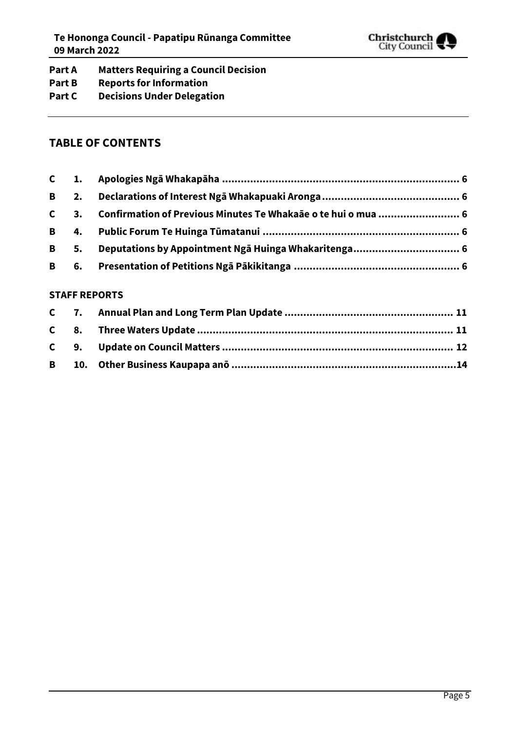

### **Part A Matters Requiring a Council Decision**

- **Part B Reports for Information**
- **Part C Decisions Under Delegation**

### **TABLE OF CONTENTS**

| <b>B</b> 5. |  |
|-------------|--|
|             |  |

#### **STAFF REPORTS**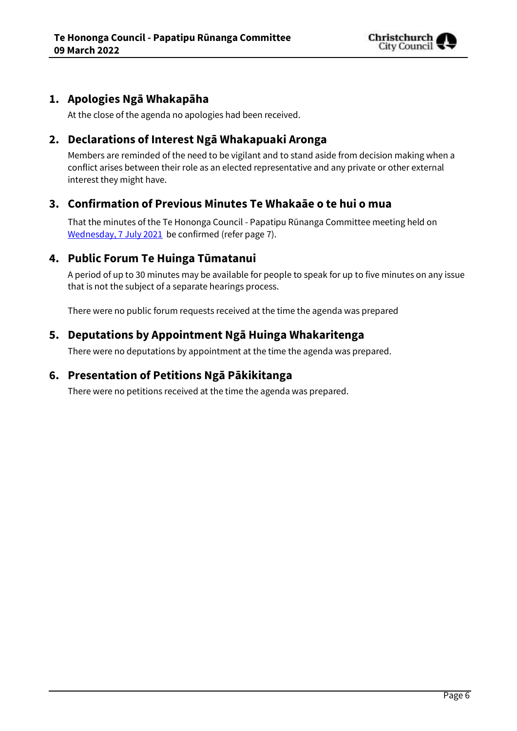

### <span id="page-5-0"></span>**1. Apologies Ngā Whakapāha**

At the close of the agenda no apologies had been received.

### <span id="page-5-1"></span>**2. Declarations of Interest Ngā Whakapuaki Aronga**

Members are reminded of the need to be vigilant and to stand aside from decision making when a conflict arises between their role as an elected representative and any private or other external interest they might have.

### <span id="page-5-2"></span>**3. Confirmation of Previous Minutes Te Whakaāe o te hui o mua**

That the minutes of the Te Hononga Council - Papatipu Rūnanga Committee meeting held on [Wednesday, 7 July 2021](../../../RedirectToInvalidFileName.aspx?FileName=THCP_20210707_MIN_5417.PDF) be confirmed (refer page [7\)](#page-6-0).

### **4. Public Forum Te Huinga Tūmatanui**

A period of up to 30 minutes may be available for people to speak for up to five minutes on any issue that is not the subject of a separate hearings process.

<span id="page-5-3"></span>There were no public forum requests received at the time the agenda was prepared

### **5. Deputations by Appointment Ngā Huinga Whakaritenga**

There were no deputations by appointment at the time the agenda was prepared.

### <span id="page-5-4"></span>**6. Presentation of Petitions Ngā Pākikitanga**

There were no petitions received at the time the agenda was prepared.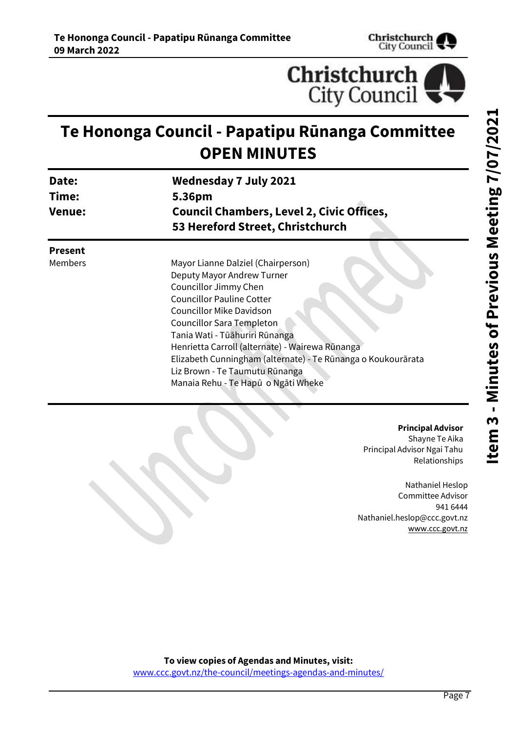



# <span id="page-6-0"></span>**Te Hononga Council - Papatipu Rūnanga Committee OPEN MINUTES**

| Date:         | <b>Wednesday 7 July 2021</b>                     |
|---------------|--------------------------------------------------|
| Time:         | 5.36pm                                           |
| <b>Venue:</b> | <b>Council Chambers, Level 2, Civic Offices,</b> |
|               | 53 Hereford Street, Christchurch                 |
|               |                                                  |

**Present**

Members Mayor Lianne Dalziel (Chairperson) Deputy Mayor Andrew Turner Councillor Jimmy Chen Councillor Pauline Cotter Councillor Mike Davidson Councillor Sara Templeton Tania Wati - Tūāhuriri Rūnanga Henrietta Carroll (alternate) - Wairewa Rūnanga Elizabeth Cunningham (alternate) - Te Rūnanga o Koukourārata Liz Brown - Te Taumutu Rūnanga Manaia Rehu - Te Hapū o Ngāti Wheke

#### **Principal Advisor**

Shayne Te Aika Principal Advisor Ngai Tahu Relationships

Nathaniel Heslop Committee Advisor 941 6444 Nathaniel.heslop@ccc.govt.nz [www.ccc.govt.nz](http://www.ccc.govt.nz/)

**To view copies of Agendas and Minutes, visit:** [www.ccc.govt.nz/the-council/meetings-agendas-and-minutes/](https://www.ccc.govt.nz/the-council/meetings-agendas-and-minutes/)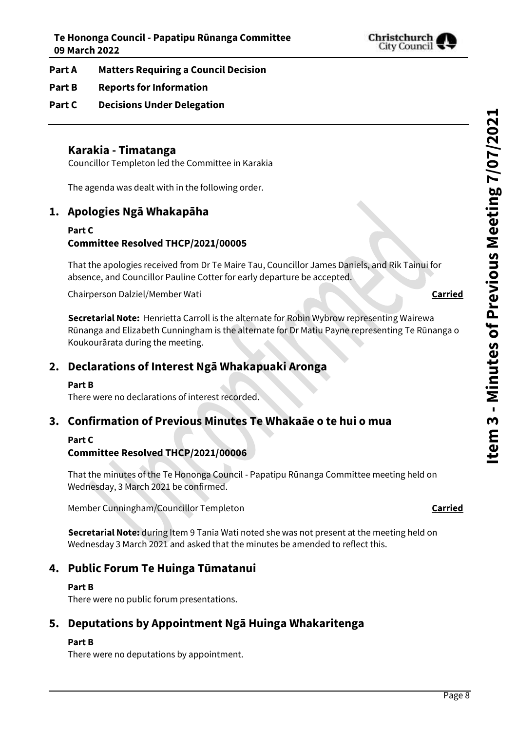

#### **Part A Matters Requiring a Council Decision**

### **Part B Reports for Information**

**Part C Decisions Under Delegation**

### **Karakia - Timatanga**

Councillor Templeton led the Committee in Karakia

The agenda was dealt with in the following order.

### **1. Apologies Ngā Whakapāha**

#### **Part C Committee Resolved THCP/2021/00005**

That the apologies received from Dr Te Maire Tau, Councillor James Daniels, and Rik Tainui for absence, and Councillor Pauline Cotter for early departure be accepted.

Chairperson Dalziel/Member Wati **Carried**

**Secretarial Note:** Henrietta Carroll is the alternate for Robin Wybrow representing Wairewa Rūnanga and Elizabeth Cunningham is the alternate for Dr Matiu Payne representing Te Rūnanga o Koukourārata during the meeting.

### **2. Declarations of Interest Ngā Whakapuaki Aronga**

#### **Part B**

There were no declarations of interest recorded.

### **3. Confirmation of Previous Minutes Te Whakaāe o te hui o mua**

#### **Part C**

#### **Committee Resolved THCP/2021/00006**

That the minutes of the Te Hononga Council - Papatipu Rūnanga Committee meeting held on Wednesday, 3 March 2021 be confirmed.

Member Cunningham/Councillor Templeton **Carried**

**Secretarial Note:** during Item 9 Tania Wati noted she was not present at the meeting held on Wednesday 3 March 2021 and asked that the minutes be amended to reflect this.

### **4. Public Forum Te Huinga Tūmatanui**

#### **Part B**

There were no public forum presentations.

### **5. Deputations by Appointment Ngā Huinga Whakaritenga**

#### **Part B**

There were no deputations by appointment.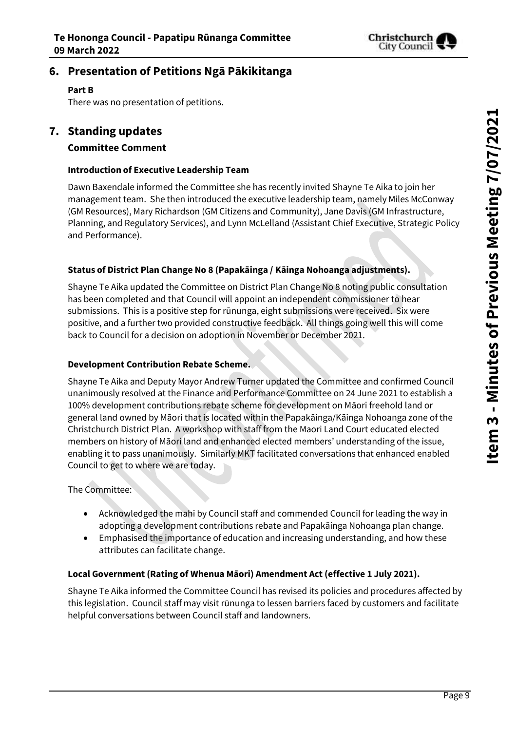

### **6. Presentation of Petitions Ngā Pākikitanga**

#### **Part B**

There was no presentation of petitions.

### **7. Standing updates**

#### **Committee Comment**

#### **Introduction of Executive Leadership Team**

Dawn Baxendale informed the Committee she has recently invited Shayne Te Aika to join her management team. She then introduced the executive leadership team, namely Miles McConway (GM Resources), Mary Richardson (GM Citizens and Community), Jane Davis (GM Infrastructure, Planning, and Regulatory Services), and Lynn McLelland (Assistant Chief Executive, Strategic Policy and Performance).

#### **Status of District Plan Change No 8 (Papakāinga / Kāinga Nohoanga adjustments).**

Shayne Te Aika updated the Committee on District Plan Change No 8 noting public consultation has been completed and that Council will appoint an independent commissioner to hear submissions. This is a positive step for rūnunga, eight submissions were received. Six were positive, and a further two provided constructive feedback. All things going well this will come back to Council for a decision on adoption in November or December 2021.

#### **Development Contribution Rebate Scheme.**

Shayne Te Aika and Deputy Mayor Andrew Turner updated the Committee and confirmed Council unanimously resolved at the Finance and Performance Committee on 24 June 2021 to establish a 100% development contributions rebate scheme for development on Māori freehold land or general land owned by Māori that is located within the Papakāinga/Kāinga Nohoanga zone of the Christchurch District Plan. A workshop with staff from the Maori Land Court educated elected members on history of Māori land and enhanced elected members' understanding of the issue, enabling it to pass unanimously. Similarly MKT facilitated conversations that enhanced enabled Council to get to where we are today.

The Committee:

- Acknowledged the mahi by Council staff and commended Council for leading the way in adopting a development contributions rebate and Papakāinga Nohoanga plan change.
- Emphasised the importance of education and increasing understanding, and how these attributes can facilitate change.

#### **Local Government (Rating of Whenua Māori) Amendment Act (effective 1 July 2021).**

Shayne Te Aika informed the Committee Council has revised its policies and procedures affected by this legislation. Council staff may visit rūnunga to lessen barriers faced by customers and facilitate helpful conversations between Council staff and landowners.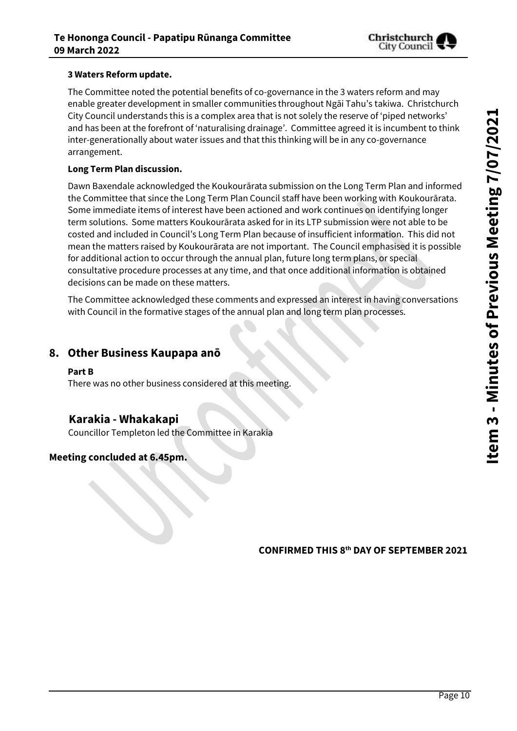

#### **3 Waters Reform update.**

The Committee noted the potential benefits of co-governance in the 3 waters reform and may enable greater development in smaller communities throughout Ngāi Tahu's takiwa. Christchurch City Council understands this is a complex area that is not solely the reserve of 'piped networks' and has been at the forefront of 'naturalising drainage'. Committee agreed it is incumbent to think inter-generationally about water issues and that this thinking will be in any co-governance arrangement.

#### **Long Term Plan discussion.**

Dawn Baxendale acknowledged the Koukourārata submission on the Long Term Plan and informed the Committee that since the Long Term Plan Council staff have been working with Koukourārata. Some immediate items of interest have been actioned and work continues on identifying longer term solutions. Some matters Koukourārata asked for in its LTP submission were not able to be costed and included in Council's Long Term Plan because of insufficient information. This did not mean the matters raised by Koukourārata are not important. The Council emphasised it is possible for additional action to occur through the annual plan, future long term plans, or special consultative procedure processes at any time, and that once additional information is obtained decisions can be made on these matters.

The Committee acknowledged these comments and expressed an interest in having conversations with Council in the formative stages of the annual plan and long term plan processes.

### **8. Other Business Kaupapa anō**

#### **Part B**

There was no other business considered at this meeting.

### **Karakia - Whakakapi**

Councillor Templeton led the Committee in Karakia

### **Meeting concluded at 6.45pm.**

**CONFIRMED THIS 8 th DAY OF SEPTEMBER 2021**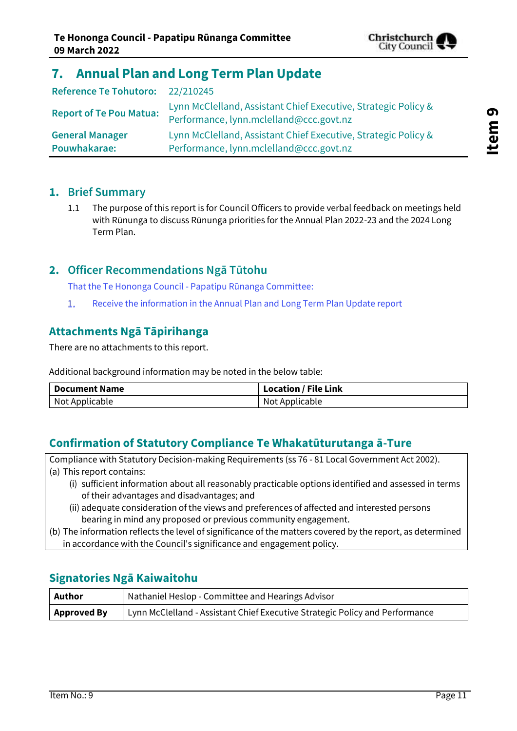

# <span id="page-10-0"></span>**7. Annual Plan and Long Term Plan Update**

| Reference Te Tohutoro: 22/210245 |                                                                                                           |
|----------------------------------|-----------------------------------------------------------------------------------------------------------|
| <b>Report of Te Pou Matua:</b>   | Lynn McClelland, Assistant Chief Executive, Strategic Policy &<br>Performance, lynn.mclelland@ccc.govt.nz |
| <b>General Manager</b>           | Lynn McClelland, Assistant Chief Executive, Strategic Policy &                                            |
| Pouwhakarae:                     | Performance, lynn.mclelland@ccc.govt.nz                                                                   |

### **1. Brief Summary**

1.1 The purpose of this report is for Council Officers to provide verbal feedback on meetings held with Rūnunga to discuss Rūnunga priorities for the Annual Plan 2022-23 and the 2024 Long Term Plan.

### **2. Officer Recommendations Ngā Tūtohu**

That the Te Hononga Council - Papatipu Rūnanga Committee:

Receive the information in the Annual Plan and Long Term Plan Update report  $1$ 

### **Attachments Ngā Tāpirihanga**

There are no attachments to this report.

Additional background information may be noted in the below table:

| <b>Document Name</b> | $^{\dagger}$ Location / File Link |
|----------------------|-----------------------------------|
| Not Applicable       | Not Applicable                    |

### **Confirmation of Statutory Compliance Te Whakatūturutanga ā-Ture**

Compliance with Statutory Decision-making Requirements (ss 76 - 81 Local Government Act 2002). (a) This report contains:

- (i) sufficient information about all reasonably practicable options identified and assessed in terms of their advantages and disadvantages; and
- (ii) adequate consideration of the views and preferences of affected and interested persons bearing in mind any proposed or previous community engagement.
- (b) The information reflects the level of significance of the matters covered by the report, as determined in accordance with the Council's significance and engagement policy.

### **Signatories Ngā Kaiwaitohu**

<span id="page-10-1"></span>

| Author             | Nathaniel Heslop - Committee and Hearings Advisor                            |
|--------------------|------------------------------------------------------------------------------|
| <b>Approved By</b> | Lynn McClelland - Assistant Chief Executive Strategic Policy and Performance |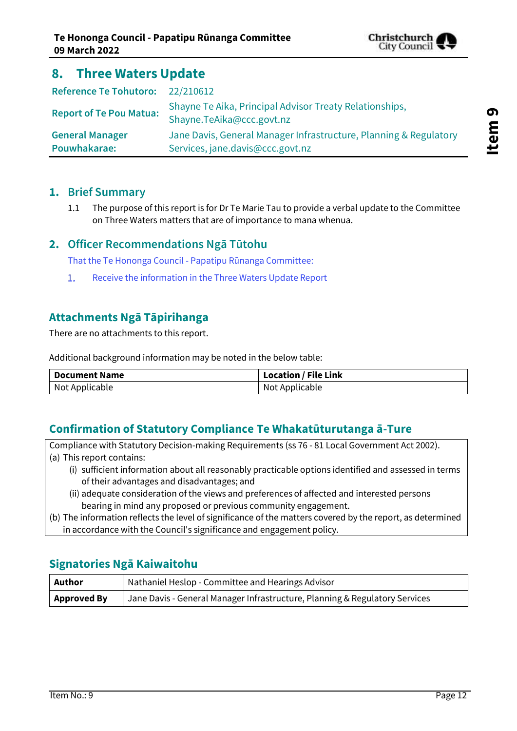

## **8. Three Waters Update**

| Reference Te Tohutoro: 22/210612       |                                                                                                       |
|----------------------------------------|-------------------------------------------------------------------------------------------------------|
| <b>Report of Te Pou Matua:</b>         | Shayne Te Aika, Principal Advisor Treaty Relationships,<br>Shayne.TeAika@ccc.govt.nz                  |
| <b>General Manager</b><br>Pouwhakarae: | Jane Davis, General Manager Infrastructure, Planning & Regulatory<br>Services, jane.davis@ccc.govt.nz |

### **1. Brief Summary**

1.1 The purpose of this report is for Dr Te Marie Tau to provide a verbal update to the Committee on Three Waters matters that are of importance to mana whenua.

### **2. Officer Recommendations Ngā Tūtohu**

That the Te Hononga Council - Papatipu Rūnanga Committee:

Receive the information in the Three Waters Update Report  $1.$ 

### **Attachments Ngā Tāpirihanga**

There are no attachments to this report.

Additional background information may be noted in the below table:

| <b>Document Name</b> | <b>Location / File Link</b> |
|----------------------|-----------------------------|
| Not Applicable       | Not Applicable              |

### **Confirmation of Statutory Compliance Te Whakatūturutanga ā-Ture**

Compliance with Statutory Decision-making Requirements (ss 76 - 81 Local Government Act 2002). (a) This report contains:

- (i) sufficient information about all reasonably practicable options identified and assessed in terms of their advantages and disadvantages; and
- (ii) adequate consideration of the views and preferences of affected and interested persons bearing in mind any proposed or previous community engagement.
- (b) The information reflects the level of significance of the matters covered by the report, as determined in accordance with the Council's significance and engagement policy.

### **Signatories Ngā Kaiwaitohu**

<span id="page-11-0"></span>

| Author             | <b>Nathaniel Heslop - Committee and Hearings Advisor</b>                    |
|--------------------|-----------------------------------------------------------------------------|
| <b>Approved By</b> | Jane Davis - General Manager Infrastructure, Planning & Regulatory Services |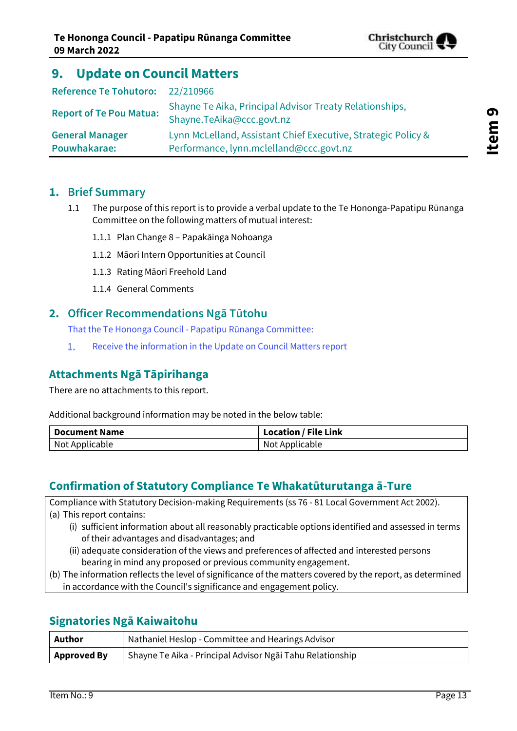

# **9. Update on Council Matters**

| Reference Te Tohutoro: 22/210966       |                                                                                                          |
|----------------------------------------|----------------------------------------------------------------------------------------------------------|
| <b>Report of Te Pou Matua:</b>         | Shayne Te Aika, Principal Advisor Treaty Relationships,<br>Shayne.TeAika@ccc.govt.nz                     |
| <b>General Manager</b><br>Pouwhakarae: | Lynn McLelland, Assistant Chief Executive, Strategic Policy &<br>Performance, lynn.mclelland@ccc.govt.nz |

### **1. Brief Summary**

- 1.1 The purpose of this report is to provide a verbal update to the Te Hononga-Papatipu Rūnanga Committee on the following matters of mutual interest:
	- 1.1.1 Plan Change 8 Papakāinga Nohoanga
	- 1.1.2 Māori Intern Opportunities at Council
	- 1.1.3 Rating Māori Freehold Land
	- 1.1.4 General Comments

#### **2. Officer Recommendations Ngā Tūtohu**

That the Te Hononga Council - Papatipu Rūnanga Committee:

Receive the information in the Update on Council Matters report  $1.$ 

### **Attachments Ngā Tāpirihanga**

There are no attachments to this report.

Additional background information may be noted in the below table:

| <b>Document Name</b> | <b>Location / File Link</b> |
|----------------------|-----------------------------|
| Not Applicable       | Not Applicable              |

### **Confirmation of Statutory Compliance Te Whakatūturutanga ā-Ture**

Compliance with Statutory Decision-making Requirements (ss 76 - 81 Local Government Act 2002). (a) This report contains:

- (i) sufficient information about all reasonably practicable options identified and assessed in terms of their advantages and disadvantages; and
- (ii) adequate consideration of the views and preferences of affected and interested persons bearing in mind any proposed or previous community engagement.
- (b) The information reflects the level of significance of the matters covered by the report, as determined in accordance with the Council's significance and engagement policy.

### **Signatories Ngā Kaiwaitohu**

| Author             | Nathaniel Heslop - Committee and Hearings Advisor         |
|--------------------|-----------------------------------------------------------|
| <b>Approved By</b> | Shayne Te Aika - Principal Advisor Ngāi Tahu Relationship |